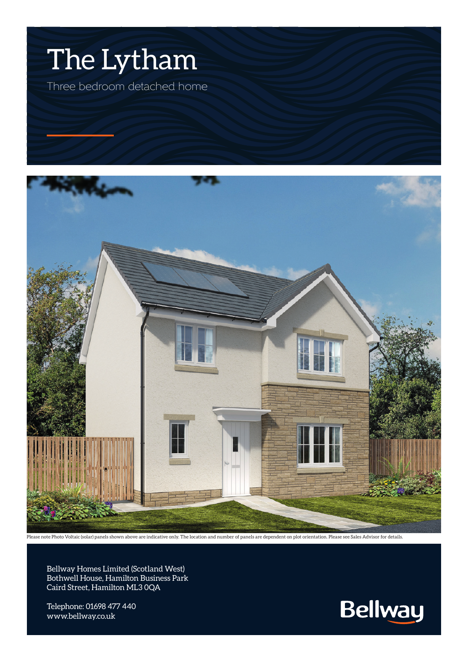



Please note Photo Voltaic (solar) panels shown above are indicative only. The location and number of panels are dependent on plot orientation. Please see Sales Advisor for details.

Bellway Homes Limited (Scotland West) Bothwell House, Hamilton Business Park Caird Street, Hamilton ML3 0QA

Telephone: 01698 477 440 www.bellway.co.uk